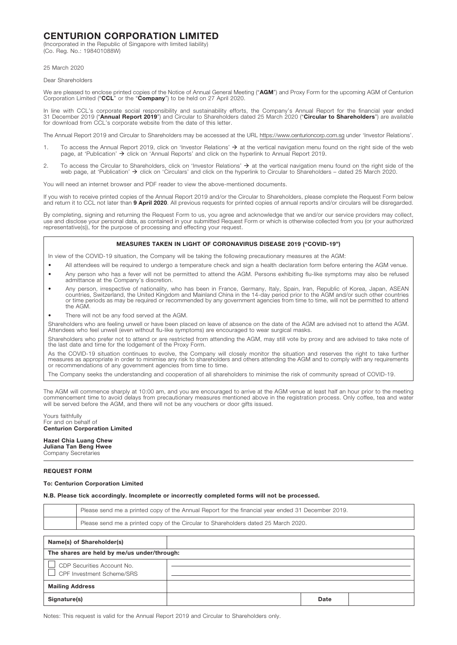# CENTURION CORPORATION LIMITED

(Incorporated in the Republic of Singapore with limited liability) (Co. Reg. No.: 198401088W)

25 March 2020

Dear Shareholders

We are pleased to enclose printed copies of the Notice of Annual General Meeting ("AGM") and Proxy Form for the upcoming AGM of Centurion Corporation Limited ("CCL" or the "Company") to be held on 27 April 2020.

In line with CCL's corporate social responsibility and sustainability efforts, the Company's Annual Report for the financial year ended 31 December 2019 ("Annual Report 2019") and Circular to Shareholders dated 25 March 2020 ("Circular to Shareholders") are available for download from CCL's corporate website from the date of this letter.

The Annual Report 2019 and Circular to Shareholders may be accessed at the URL https://www.centurioncorp.com.sg under 'Investor Relations'.

- 1. To access the Annual Report 2019, click on 'Investor Relations'  $\rightarrow$  at the vertical navigation menu found on the right side of the web page, at 'Publication'  $\rightarrow$  click on 'Annual Reports' and click on the hyperlink to Annual Report 2019.
- 2. To access the Circular to Shareholders, click on 'Investor Relations'  $\rightarrow$  at the vertical navigation menu found on the right side of the web page, at 'Publication' click on 'Circulars' and click on the hyperlink to Circular to Shareholders – dated 25 March 2020.

You will need an internet browser and PDF reader to view the above-mentioned documents.

If you wish to receive printed copies of the Annual Report 2019 and/or the Circular to Shareholders, please complete the Request Form below and return it to CCL not later than 9 April 2020. All previous requests for printed copies of annual reports and/or circulars will be disregarded.

By completing, signing and returning the Request Form to us, you agree and acknowledge that we and/or our service providers may collect, use and disclose your personal data, as contained in your submitted Request Form or which is otherwise collected from you (or your authorized representative(s)), for the purpose of processing and effecting your request.

## MEASURES TAKEN IN LIGHT OF CORONAVIRUS DISEASE 2019 ("COVID-19")

In view of the COVID-19 situation, the Company will be taking the following precautionary measures at the AGM:

- All attendees will be required to undergo a temperature check and sign a health declaration form before entering the AGM venue.
- Any person who has a fever will not be permitted to attend the AGM. Persons exhibiting flu-like symptoms may also be refused admittance at the Company's discretion.
- Any person, irrespective of nationality, who has been in France, Germany, Italy, Spain, Iran, Republic of Korea, Japan, ASEAN<br>countries, Switzerland, the United Kingdom and Mainland China in the 14-day period prior to the or time periods as may be required or recommended by any government agencies from time to time, will not be permitted to attend the AGM.
- There will not be any food served at the AGM.

Shareholders who are feeling unwell or have been placed on leave of absence on the date of the AGM are advised not to attend the AGM. Attendees who feel unwell (even without flu-like symptoms) are encouraged to wear surgical masks.

Shareholders who prefer not to attend or are restricted from attending the AGM, may still vote by proxy and are advised to take note of the last date and time for the lodgement of the Proxy Form.

As the COVID-19 situation continues to evolve, the Company will closely monitor the situation and reserves the right to take further<br>measures as appropriate in order to minimise any risk to shareholders and others attendin or recommendations of any government agencies from time to time.

The Company seeks the understanding and cooperation of all shareholders to minimise the risk of community spread of COVID-19.

The AGM will commence sharply at 10:00 am, and you are encouraged to arrive at the AGM venue at least half an hour prior to the meeting commencement time to avoid delays from precautionary measures mentioned above in the registration process. Only coffee, tea and water will be served before the AGM, and there will not be any vouchers or door gifts issued.

Yours faithfully For and on behalf of Centurion Corporation Limited

#### Hazel Chia Luang Chew Juliana Tan Beng Hwee

Company Secretaries

# REQUEST FORM

# To: Centurion Corporation Limited

## N.B. Please tick accordingly. Incomplete or incorrectly completed forms will not be processed.

|                                                                                    | Please send me a printed copy of the Annual Report for the financial year ended 31 December 2019. |  |      |  |
|------------------------------------------------------------------------------------|---------------------------------------------------------------------------------------------------|--|------|--|
| Please send me a printed copy of the Circular to Shareholders dated 25 March 2020. |                                                                                                   |  |      |  |
|                                                                                    |                                                                                                   |  |      |  |
| Name(s) of Shareholder(s)                                                          |                                                                                                   |  |      |  |
| The shares are held by me/us under/through:                                        |                                                                                                   |  |      |  |
| CDP Securities Account No.                                                         |                                                                                                   |  |      |  |
| CPF Investment Scheme/SRS                                                          |                                                                                                   |  |      |  |
| <b>Mailing Address</b>                                                             |                                                                                                   |  |      |  |
| Signature(s)                                                                       |                                                                                                   |  | Date |  |

Notes: This request is valid for the Annual Report 2019 and Circular to Shareholders only.